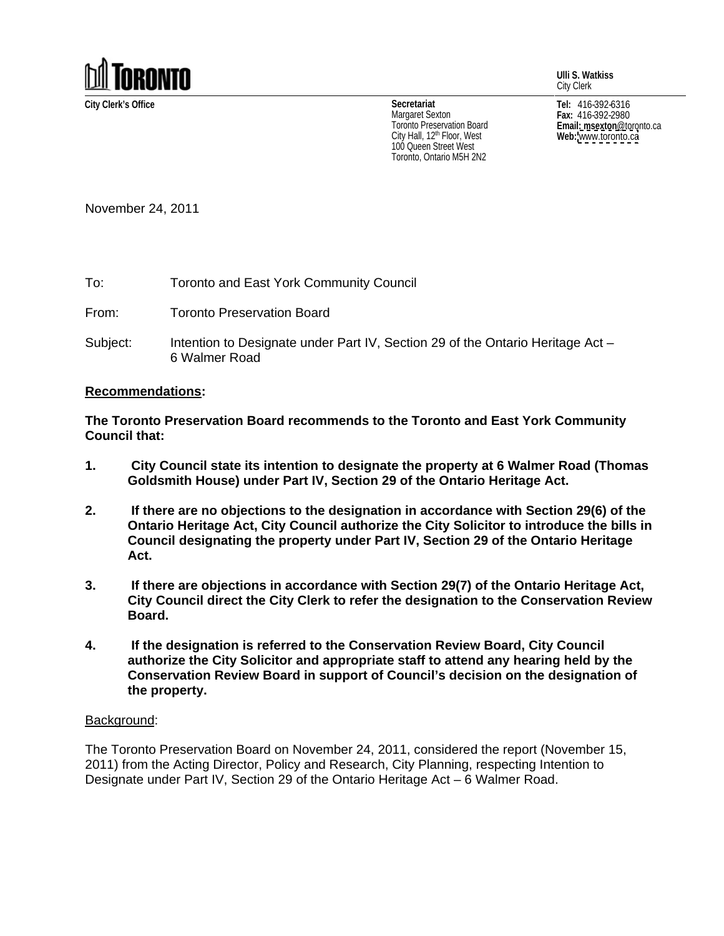

**Ulli S. Watkiss** City Clerk

City Hall, 12<sup>th</sup> Floor, West **Web:** www.toronto.ca 100 Queen Street West Toronto, Ontario M5H 2N2

**City Clerk's Office Tel:** 416-392-6316 **Fax:** 416-392-2980 **Email: msexton**@toronto.ca **Web:** [www.toronto.ca](http://www.toronto.ca) **Secretariat** Margaret Sexton  $_{max: 416-392-2980}$ I oronto Preservation Board **Example 2018 Email: msexton** @toronto.ca

November 24, 2011

To: Toronto and East York Community Council

From: Toronto Preservation Board

Subject: Intention to Designate under Part IV, Section 29 of the Ontario Heritage Act – 6 Walmer Road

## **Recommendations:**

**The Toronto Preservation Board recommends to the Toronto and East York Community Council that:**

- **1. City Council state its intention to designate the property at 6 Walmer Road (Thomas Goldsmith House) under Part IV, Section 29 of the Ontario Heritage Act.**
- **2. If there are no objections to the designation in accordance with Section 29(6) of the Ontario Heritage Act, City Council authorize the City Solicitor to introduce the bills in Council designating the property under Part IV, Section 29 of the Ontario Heritage Act.**
- **3. If there are objections in accordance with Section 29(7) of the Ontario Heritage Act, City Council direct the City Clerk to refer the designation to the Conservation Review Board.**
- **4. If the designation is referred to the Conservation Review Board, City Council authorize the City Solicitor and appropriate staff to attend any hearing held by the Conservation Review Board in support of Council's decision on the designation of the property.**

## Background: with a state of the state of the state of the state of the state of the state of the state of the state of the state of the state of the state of the state of the state of the state of the state of the state of

The Toronto Preservation Board on November 24, 2011, considered the report (November 15, 2011) from the Acting Director, Policy and Research, City Planning, respecting Intention to Designate under Part IV, Section 29 of the Ontario Heritage Act – 6 Walmer Road.